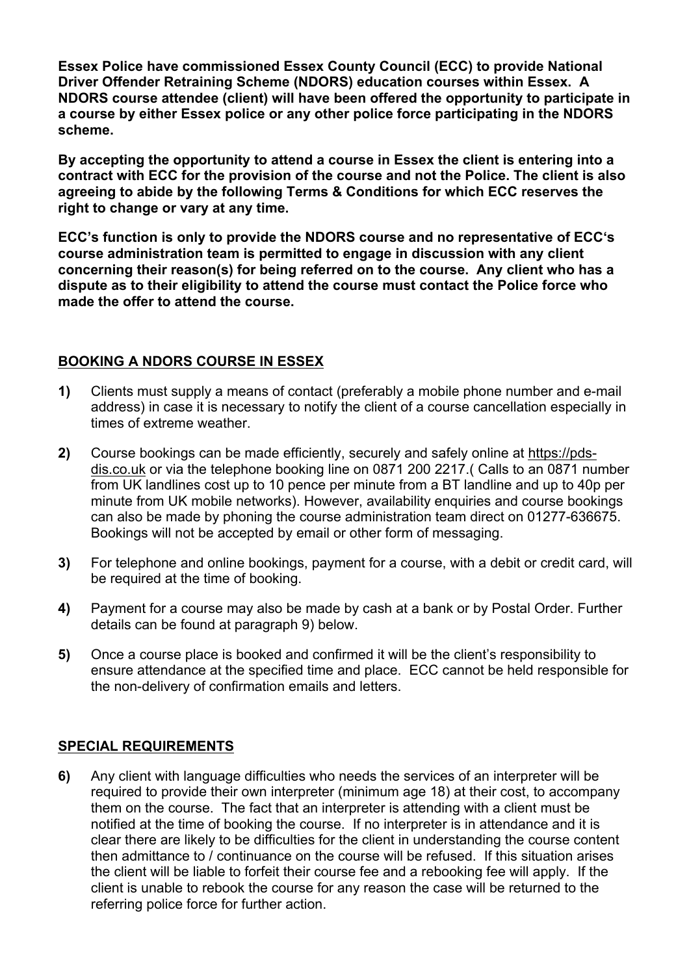**Essex Police have commissioned Essex County Council (ECC) to provide National Driver Offender Retraining Scheme (NDORS) education courses within Essex. A NDORS course attendee (client) will have been offered the opportunity to participate in a course by either Essex police or any other police force participating in the NDORS scheme.** 

**By accepting the opportunity to attend a course in Essex the client is entering into a contract with ECC for the provision of the course and not the Police. The client is also agreeing to abide by the following Terms & Conditions for which ECC reserves the right to change or vary at any time.** 

**ECC's function is only to provide the NDORS course and no representative of ECC's course administration team is permitted to engage in discussion with any client concerning their reason(s) for being referred on to the course. Any client who has a dispute as to their eligibility to attend the course must contact the Police force who made the offer to attend the course.** 

## **BOOKING A NDORS COURSE IN ESSEX**

- **1)** Clients must supply a means of contact (preferably a mobile phone number and e-mail address) in case it is necessary to notify the client of a course cancellation especially in times of extreme weather.
- **2)** Course bookings can be made efficiently, securely and safely online at https://pdsdis.co.uk or via the telephone booking line on 0871 200 2217.( Calls to an 0871 number from UK landlines cost up to 10 pence per minute from a BT landline and up to 40p per minute from UK mobile networks). However, availability enquiries and course bookings can also be made by phoning the course administration team direct on 01277-636675. Bookings will not be accepted by email or other form of messaging.
- **3)** For telephone and online bookings, payment for a course, with a debit or credit card, will be required at the time of booking.
- **4)** Payment for a course may also be made by cash at a bank or by Postal Order. Further details can be found at paragraph 9) below.
- **5)** Once a course place is booked and confirmed it will be the client's responsibility to ensure attendance at the specified time and place. ECC cannot be held responsible for the non-delivery of confirmation emails and letters.

## **SPECIAL REQUIREMENTS**

**6)** Any client with language difficulties who needs the services of an interpreter will be required to provide their own interpreter (minimum age 18) at their cost, to accompany them on the course. The fact that an interpreter is attending with a client must be notified at the time of booking the course. If no interpreter is in attendance and it is clear there are likely to be difficulties for the client in understanding the course content then admittance to / continuance on the course will be refused. If this situation arises the client will be liable to forfeit their course fee and a rebooking fee will apply. If the client is unable to rebook the course for any reason the case will be returned to the referring police force for further action.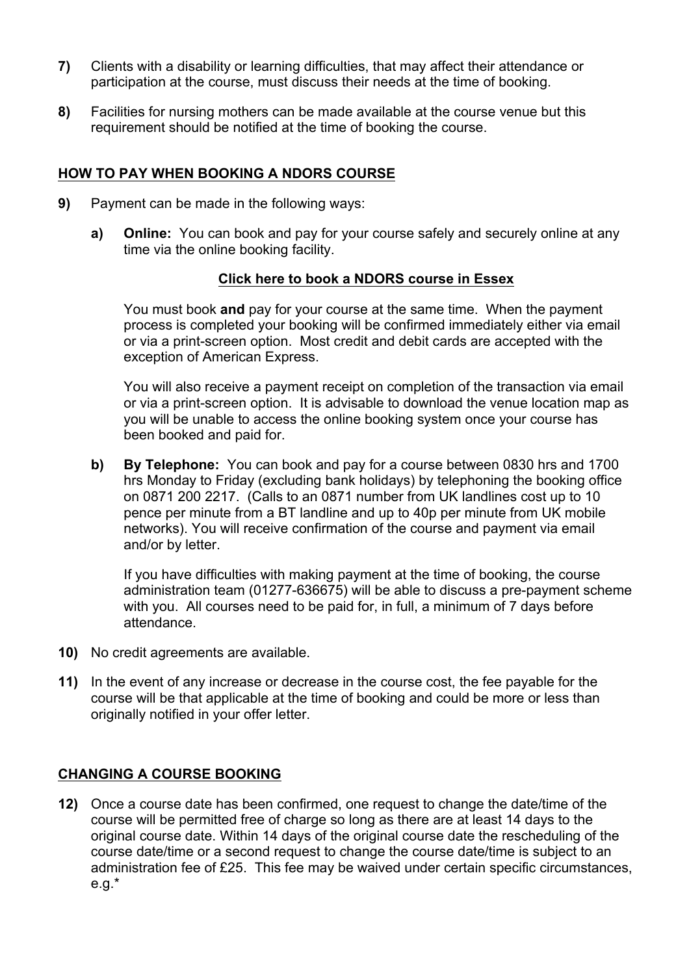- **7)** Clients with a disability or learning difficulties, that may affect their attendance or participation at the course, must discuss their needs at the time of booking.
- **8)** Facilities for nursing mothers can be made available at the course venue but this requirement should be notified at the time of booking the course.

### **HOW TO PAY WHEN BOOKING A NDORS COURSE**

- **9)** Payment can be made in the following ways:
	- **a) Online:** You can book and pay for your course safely and securely online at any time via the online booking facility.

### **Click here to book a NDORS course in Essex**

You must book **and** pay for your course at the same time. When the payment process is completed your booking will be confirmed immediately either via email or via a print-screen option. Most credit and debit cards are accepted with the exception of American Express.

You will also receive a payment receipt on completion of the transaction via email or via a print-screen option. It is advisable to download the venue location map as you will be unable to access the online booking system once your course has been booked and paid for.

**b) By Telephone:** You can book and pay for a course between 0830 hrs and 1700 hrs Monday to Friday (excluding bank holidays) by telephoning the booking office on 0871 200 2217. (Calls to an 0871 number from UK landlines cost up to 10 pence per minute from a BT landline and up to 40p per minute from UK mobile networks). You will receive confirmation of the course and payment via email and/or by letter.

If you have difficulties with making payment at the time of booking, the course administration team (01277-636675) will be able to discuss a pre-payment scheme with you. All courses need to be paid for, in full, a minimum of 7 days before attendance.

- **10)** No credit agreements are available.
- **11)** In the event of any increase or decrease in the course cost, the fee payable for the course will be that applicable at the time of booking and could be more or less than originally notified in your offer letter.

## **CHANGING A COURSE BOOKING**

**12)** Once a course date has been confirmed, one request to change the date/time of the course will be permitted free of charge so long as there are at least 14 days to the original course date. Within 14 days of the original course date the rescheduling of the course date/time or a second request to change the course date/time is subject to an administration fee of £25. This fee may be waived under certain specific circumstances, e.g.\*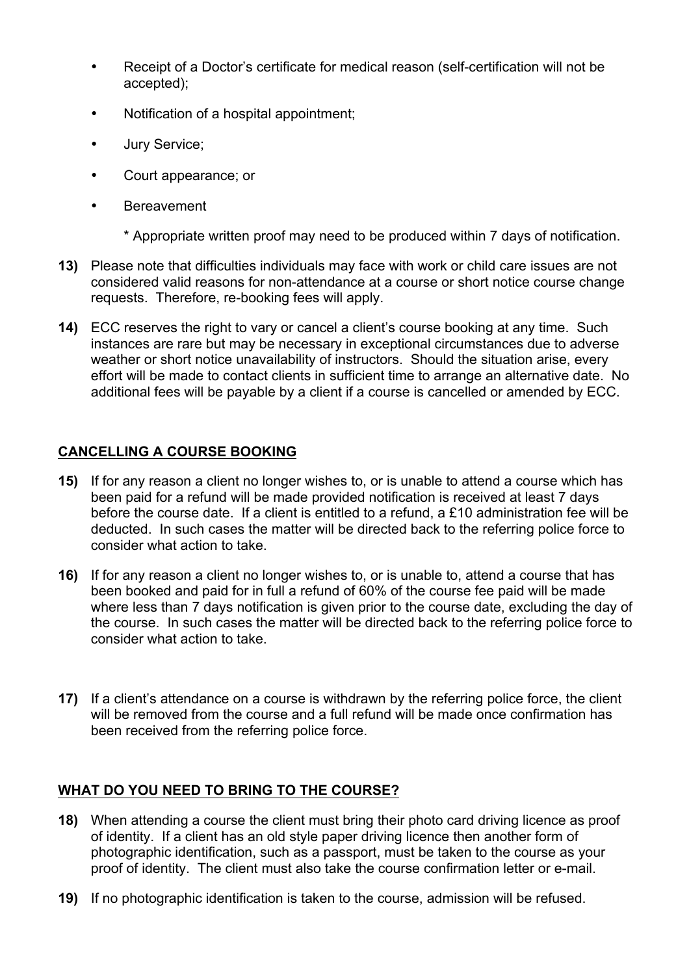- Receipt of a Doctor's certificate for medical reason (self-certification will not be accepted);
- Notification of a hospital appointment;
- Jury Service;
- Court appearance; or
- Bereavement
	- \* Appropriate written proof may need to be produced within 7 days of notification.
- **13)** Please note that difficulties individuals may face with work or child care issues are not considered valid reasons for non-attendance at a course or short notice course change requests. Therefore, re-booking fees will apply.
- **14)** ECC reserves the right to vary or cancel a client's course booking at any time. Such instances are rare but may be necessary in exceptional circumstances due to adverse weather or short notice unavailability of instructors. Should the situation arise, every effort will be made to contact clients in sufficient time to arrange an alternative date. No additional fees will be payable by a client if a course is cancelled or amended by ECC.

# **CANCELLING A COURSE BOOKING**

- **15)** If for any reason a client no longer wishes to, or is unable to attend a course which has been paid for a refund will be made provided notification is received at least 7 days before the course date. If a client is entitled to a refund, a £10 administration fee will be deducted. In such cases the matter will be directed back to the referring police force to consider what action to take.
- **16)** If for any reason a client no longer wishes to, or is unable to, attend a course that has been booked and paid for in full a refund of 60% of the course fee paid will be made where less than 7 days notification is given prior to the course date, excluding the day of the course. In such cases the matter will be directed back to the referring police force to consider what action to take.
- **17)** If a client's attendance on a course is withdrawn by the referring police force, the client will be removed from the course and a full refund will be made once confirmation has been received from the referring police force.

## **WHAT DO YOU NEED TO BRING TO THE COURSE?**

- **18)** When attending a course the client must bring their photo card driving licence as proof of identity. If a client has an old style paper driving licence then another form of photographic identification, such as a passport, must be taken to the course as your proof of identity. The client must also take the course confirmation letter or e-mail.
- **19)** If no photographic identification is taken to the course, admission will be refused.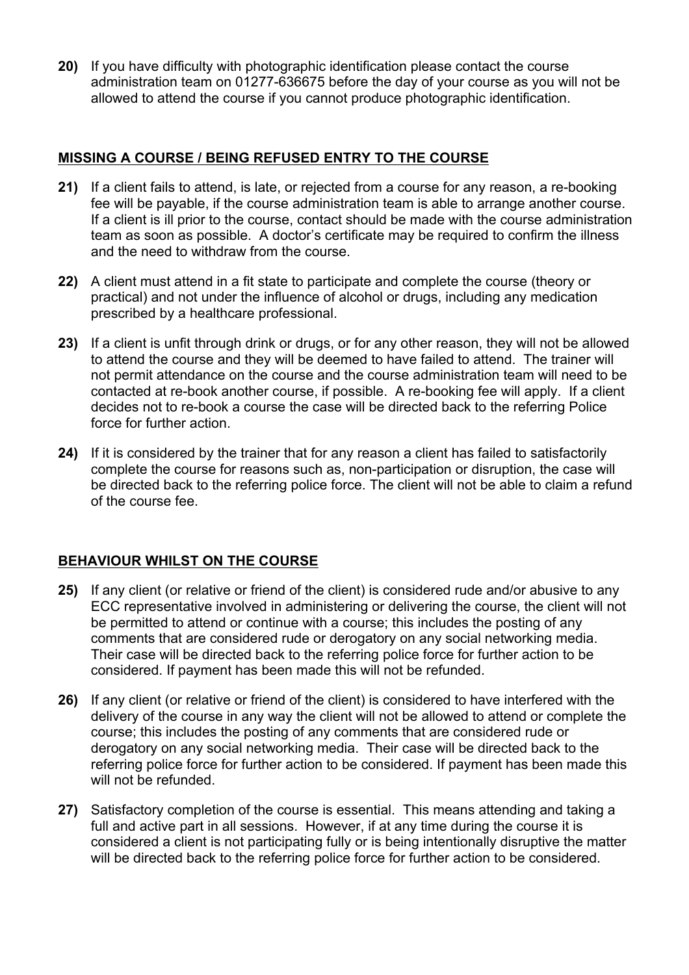**20)** If you have difficulty with photographic identification please contact the course administration team on 01277-636675 before the day of your course as you will not be allowed to attend the course if you cannot produce photographic identification.

### **MISSING A COURSE / BEING REFUSED ENTRY TO THE COURSE**

- **21)** If a client fails to attend, is late, or rejected from a course for any reason, a re-booking fee will be payable, if the course administration team is able to arrange another course. If a client is ill prior to the course, contact should be made with the course administration team as soon as possible. A doctor's certificate may be required to confirm the illness and the need to withdraw from the course.
- **22)** A client must attend in a fit state to participate and complete the course (theory or practical) and not under the influence of alcohol or drugs, including any medication prescribed by a healthcare professional.
- **23)** If a client is unfit through drink or drugs, or for any other reason, they will not be allowed to attend the course and they will be deemed to have failed to attend. The trainer will not permit attendance on the course and the course administration team will need to be contacted at re-book another course, if possible. A re-booking fee will apply. If a client decides not to re-book a course the case will be directed back to the referring Police force for further action.
- **24)** If it is considered by the trainer that for any reason a client has failed to satisfactorily complete the course for reasons such as, non-participation or disruption, the case will be directed back to the referring police force. The client will not be able to claim a refund of the course fee.

## **BEHAVIOUR WHILST ON THE COURSE**

- **25)** If any client (or relative or friend of the client) is considered rude and/or abusive to any ECC representative involved in administering or delivering the course, the client will not be permitted to attend or continue with a course; this includes the posting of any comments that are considered rude or derogatory on any social networking media. Their case will be directed back to the referring police force for further action to be considered. If payment has been made this will not be refunded.
- **26)** If any client (or relative or friend of the client) is considered to have interfered with the delivery of the course in any way the client will not be allowed to attend or complete the course; this includes the posting of any comments that are considered rude or derogatory on any social networking media. Their case will be directed back to the referring police force for further action to be considered. If payment has been made this will not be refunded.
- **27)** Satisfactory completion of the course is essential. This means attending and taking a full and active part in all sessions. However, if at any time during the course it is considered a client is not participating fully or is being intentionally disruptive the matter will be directed back to the referring police force for further action to be considered.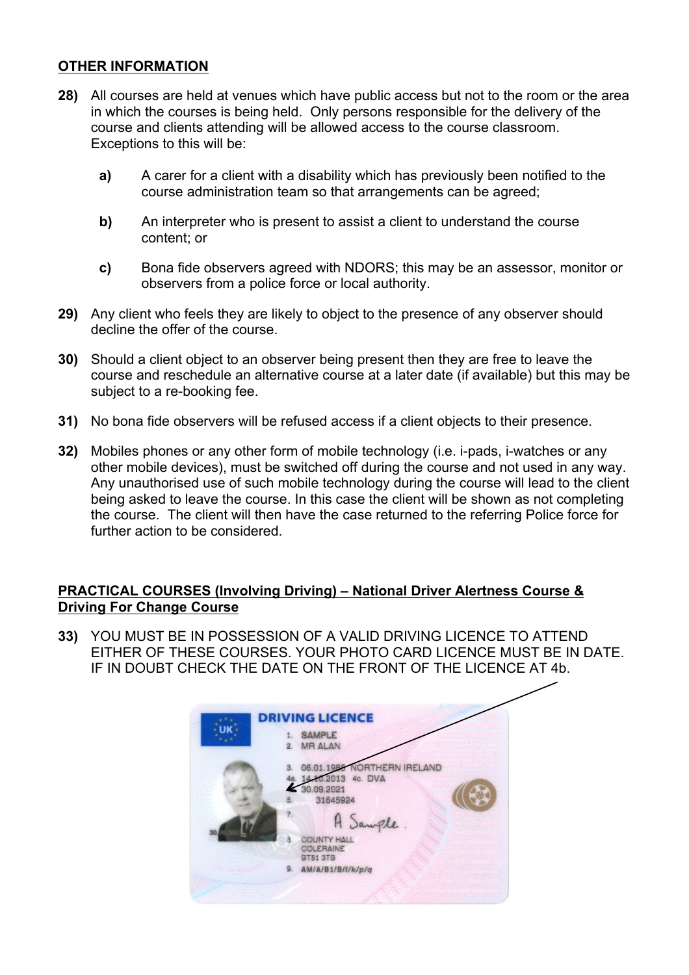### **OTHER INFORMATION**

- **28)** All courses are held at venues which have public access but not to the room or the area in which the courses is being held. Only persons responsible for the delivery of the course and clients attending will be allowed access to the course classroom. Exceptions to this will be:
	- **a)** A carer for a client with a disability which has previously been notified to the course administration team so that arrangements can be agreed;
	- **b)** An interpreter who is present to assist a client to understand the course content; or
	- **c)** Bona fide observers agreed with NDORS; this may be an assessor, monitor or observers from a police force or local authority.
- **29)** Any client who feels they are likely to object to the presence of any observer should decline the offer of the course.
- **30)** Should a client object to an observer being present then they are free to leave the course and reschedule an alternative course at a later date (if available) but this may be subject to a re-booking fee.
- **31)** No bona fide observers will be refused access if a client objects to their presence.
- **32)** Mobiles phones or any other form of mobile technology (i.e. i-pads, i-watches or any other mobile devices), must be switched off during the course and not used in any way. Any unauthorised use of such mobile technology during the course will lead to the client being asked to leave the course. In this case the client will be shown as not completing the course. The client will then have the case returned to the referring Police force for further action to be considered.

### **PRACTICAL COURSES (Involving Driving) – National Driver Alertness Course & Driving For Change Course**

**33)** YOU MUST BE IN POSSESSION OF A VALID DRIVING LICENCE TO ATTEND EITHER OF THESE COURSES. YOUR PHOTO CARD LICENCE MUST BE IN DATE. IF IN DOUBT CHECK THE DATE ON THE FRONT OF THE LICENCE AT 4b.

| <b>DRIVING LICENCE</b><br><b>SAMPLE</b>                        |
|----------------------------------------------------------------|
| 1.<br>MR ALAN<br>$\overline{2}$                                |
|                                                                |
| <b>VORTHERN IRELAND</b><br>06.01.198                           |
| 14,10,2013 4c. DVA<br>48.                                      |
| 30.09.2021<br>31645924                                         |
|                                                                |
| A Sangle                                                       |
| <b>COUNTY HALL</b><br>A<br><b><i>COLERAINE</i></b><br>BT51 3TB |
| AM/A/B1/B/f/k/p/q<br>9.                                        |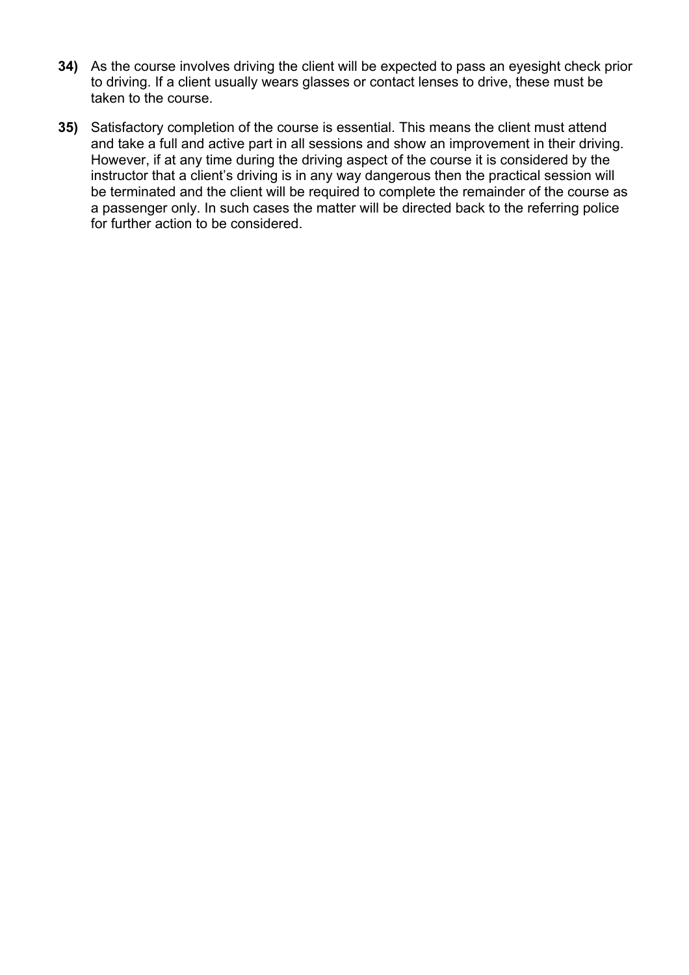- **34)** As the course involves driving the client will be expected to pass an eyesight check prior to driving. If a client usually wears glasses or contact lenses to drive, these must be taken to the course.
- **35)** Satisfactory completion of the course is essential. This means the client must attend and take a full and active part in all sessions and show an improvement in their driving. However, if at any time during the driving aspect of the course it is considered by the instructor that a client's driving is in any way dangerous then the practical session will be terminated and the client will be required to complete the remainder of the course as a passenger only. In such cases the matter will be directed back to the referring police for further action to be considered.